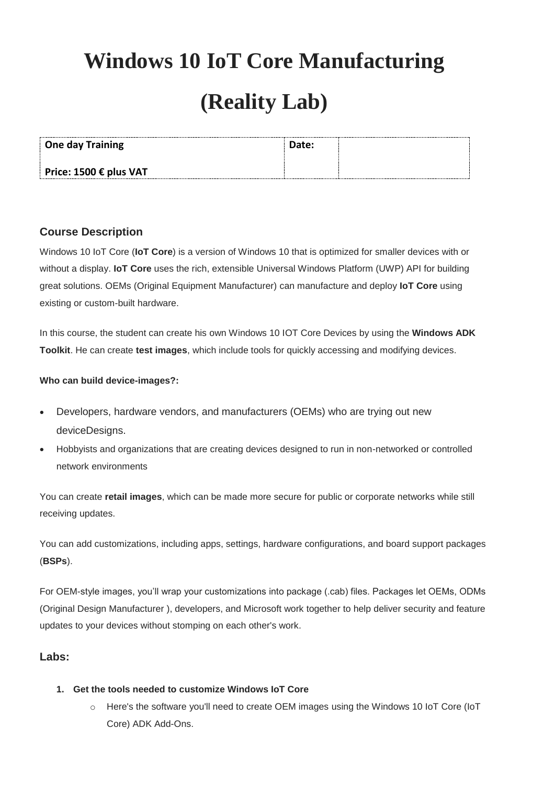# **Windows 10 IoT Core Manufacturing**

# **(Reality Lab)**

| <b>One day Training</b>         | Date: |  |
|---------------------------------|-------|--|
| Price: 1500 $\epsilon$ plus VAT |       |  |

## **Course Description**

Windows 10 IoT Core (**IoT Core**) is a version of Windows 10 that is optimized for smaller devices with or without a display. **IoT Core** uses the rich, extensible Universal Windows Platform (UWP) API for building great solutions. OEMs (Original Equipment Manufacturer) can manufacture and deploy **IoT Core** using existing or custom-built hardware.

In this course, the student can create his own Windows 10 IOT Core Devices by using the **Windows ADK Toolkit**. He can create **test images**, which include tools for quickly accessing and modifying devices.

## **Who can build device-images?:**

- Developers, hardware vendors, and manufacturers (OEMs) who are trying out new deviceDesigns.
- Hobbyists and organizations that are creating devices designed to run in non-networked or controlled network environments

You can create **retail images**, which can be made more secure for public or corporate networks while still receiving updates.

You can add customizations, including apps, settings, hardware configurations, and board support packages (**BSPs**).

For OEM-style images, you'll wrap your customizations into package (.cab) files. Packages let OEMs, ODMs (Original Design Manufacturer ), developers, and Microsoft work together to help deliver security and feature updates to your devices without stomping on each other's work.

## **Labs:**

## **1. Get the tools needed to customize Windows IoT Core**

o Here's the software you'll need to create OEM images using the Windows 10 IoT Core (IoT Core) ADK Add-Ons.